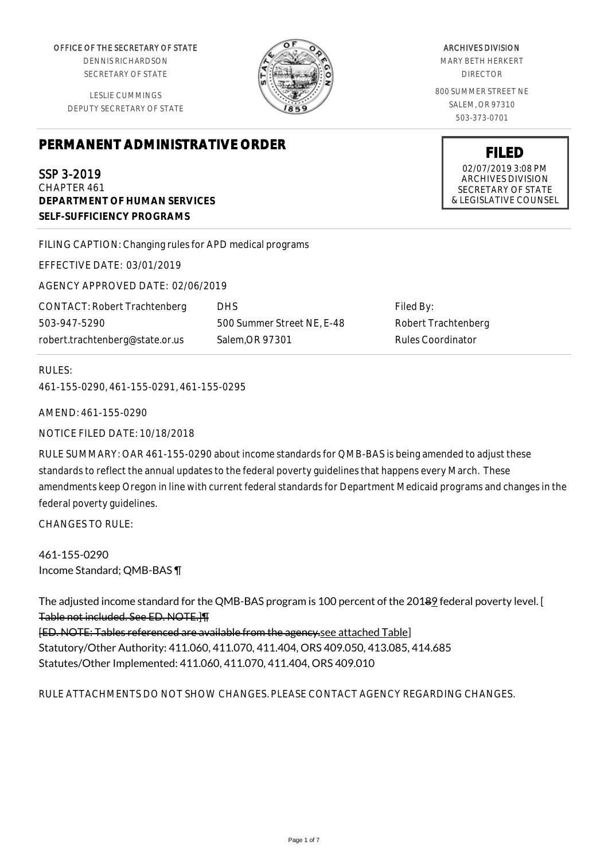OFFICE OF THE SECRETARY OF STATE

DENNIS RICHARDSON SECRETARY OF STATE

LESLIE CUMMINGS DEPUTY SECRETARY OF STATE

ARCHIVES DIVISION

MARY BETH HERKERT DIRECTOR

800 SUMMER STREET NE SALEM, OR 97310 503-373-0701

> **FILED** 02/07/2019 3:08 PM ARCHIVES DIVISION SECRETARY OF STATE & LEGISLATIVE COUNSEL

# **PERMANENT ADMINISTRATIVE ORDER**

SSP 3-2019 CHAPTER 461 **DEPARTMENT OF HUMAN SERVICES**

**SELF-SUFFICIENCY PROGRAMS**

FILING CAPTION: Changing rules for APD medical programs

EFFECTIVE DATE: 03/01/2019

AGENCY APPROVED DATE: 02/06/2019

CONTACT: Robert Trachtenberg 503-947-5290 robert.trachtenberg@state.or.us

DHS 500 Summer Street NE, E-48 Salem,OR 97301

Filed By: Robert Trachtenberg Rules Coordinator

# RULES:

461-155-0290, 461-155-0291, 461-155-0295

AMEND: 461-155-0290

NOTICE FILED DATE: 10/18/2018

RULE SUMMARY: OAR 461-155-0290 about income standards for QMB-BAS is being amended to adjust these standards to reflect the annual updates to the federal poverty guidelines that happens every March. These amendments keep Oregon in line with current federal standards for Department Medicaid programs and changes in the federal poverty guidelines.

CHANGES TO RULE:

461-155-0290 Income Standard; QMB-BAS ¶

The adjusted income standard for the QMB-BAS program is 100 percent of the 20189 federal poverty level. [ Table not included. See ED. NOTE.]¶

[ED. NOTE: Tables referenced are available from the agency.see attached Table] Statutory/Other Authority: 411.060, 411.070, 411.404, ORS 409.050, 413.085, 414.685 Statutes/Other Implemented: 411.060, 411.070, 411.404, ORS 409.010

# RULE ATTACHMENTS DO NOT SHOW CHANGES. PLEASE CONTACT AGENCY REGARDING CHANGES.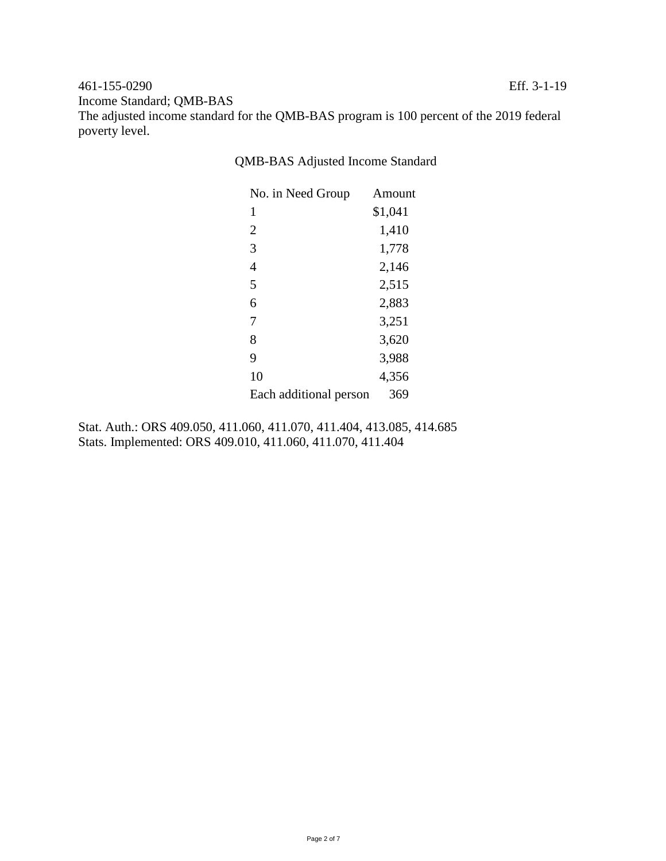## 461-155-0290 Eff. 3-1-19 Income Standard; QMB-BAS

The adjusted income standard for the QMB-BAS program is 100 percent of the 2019 federal poverty level.

QMB-BAS Adjusted Income Standard

| No. in Need Group      | Amount  |
|------------------------|---------|
| 1                      | \$1,041 |
| $\overline{2}$         | 1,410   |
| 3                      | 1,778   |
| 4                      | 2,146   |
| 5                      | 2,515   |
| 6                      | 2,883   |
| 7                      | 3,251   |
| 8                      | 3,620   |
| 9                      | 3,988   |
| 10                     | 4,356   |
| Each additional person | 369     |

Stat. Auth.: ORS 409.050, 411.060, 411.070, 411.404, 413.085, 414.685 Stats. Implemented: ORS 409.010, 411.060, 411.070, 411.404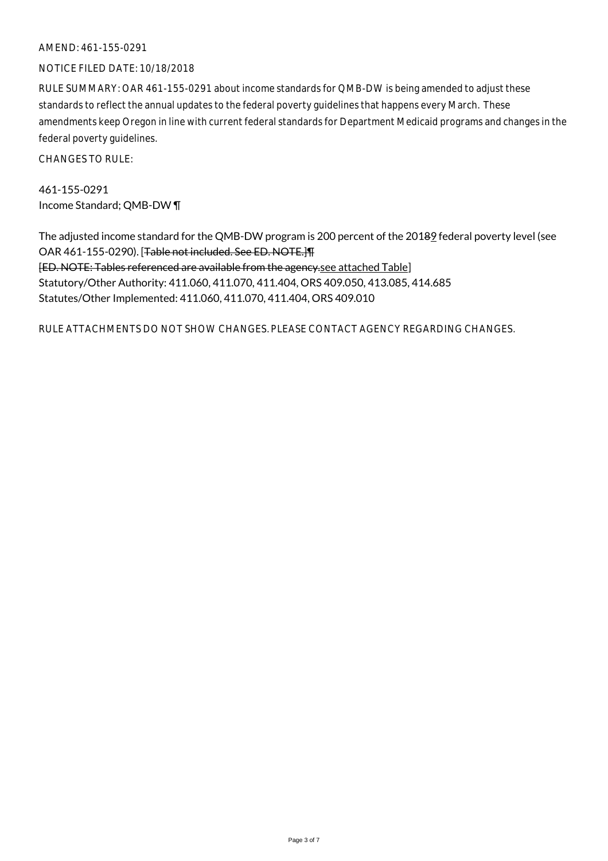#### AMEND: 461-155-0291

#### NOTICE FILED DATE: 10/18/2018

RULE SUMMARY: OAR 461-155-0291 about income standards for QMB-DW is being amended to adjust these standards to reflect the annual updates to the federal poverty guidelines that happens every March. These amendments keep Oregon in line with current federal standards for Department Medicaid programs and changes in the federal poverty guidelines.

CHANGES TO RULE:

461-155-0291 Income Standard; QMB-DW ¶

The adjusted income standard for the QMB-DW program is 200 percent of the 20189 federal poverty level (see OAR 461-155-0290). [Table not included. See ED. NOTE.]¶ [ED. NOTE: Tables referenced are available from the agency.see attached Table] Statutory/Other Authority: 411.060, 411.070, 411.404, ORS 409.050, 413.085, 414.685 Statutes/Other Implemented: 411.060, 411.070, 411.404, ORS 409.010

RULE ATTACHMENTS DO NOT SHOW CHANGES. PLEASE CONTACT AGENCY REGARDING CHANGES.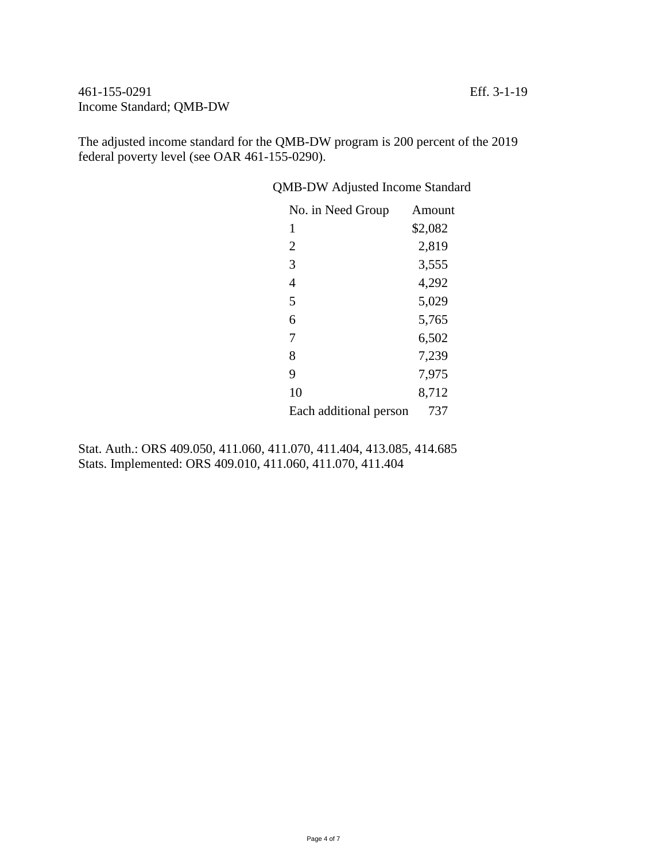461-155-0291 Eff. 3-1-19 Income Standard; QMB-DW

The adjusted income standard for the QMB-DW program is 200 percent of the 2019 federal poverty level (see OAR 461-155-0290).

QMB-DW Adjusted Income Standard

| No. in Need Group      | Amount  |
|------------------------|---------|
| 1                      | \$2,082 |
| $\overline{2}$         | 2,819   |
| 3                      | 3,555   |
| 4                      | 4,292   |
| 5                      | 5,029   |
| 6                      | 5,765   |
| 7                      | 6,502   |
| 8                      | 7,239   |
| 9                      | 7,975   |
| 10                     | 8,712   |
| Each additional person | 737     |

Stat. Auth.: ORS 409.050, 411.060, 411.070, 411.404, 413.085, 414.685 Stats. Implemented: ORS 409.010, 411.060, 411.070, 411.404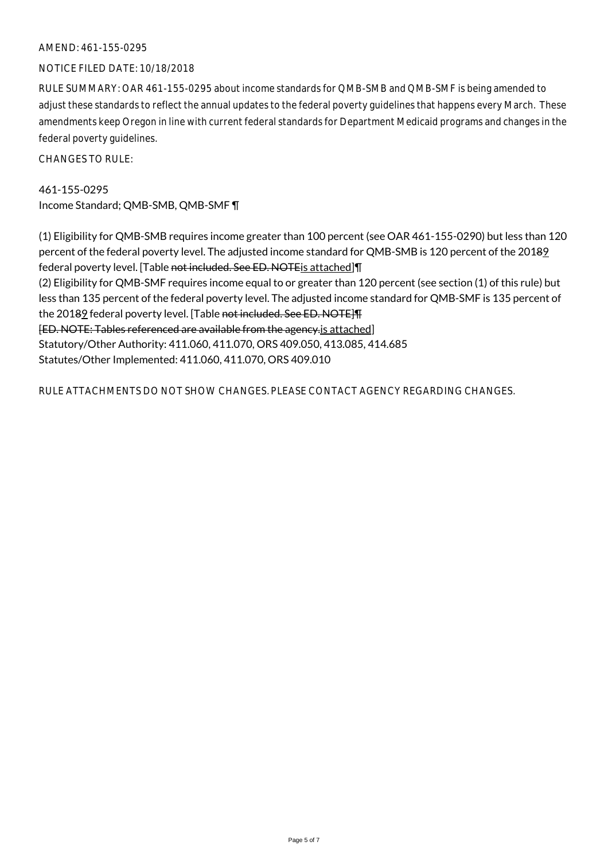### AMEND: 461-155-0295

#### NOTICE FILED DATE: 10/18/2018

RULE SUMMARY: OAR 461-155-0295 about income standards for QMB-SMB and QMB-SMF is being amended to adjust these standards to reflect the annual updates to the federal poverty guidelines that happens every March. These amendments keep Oregon in line with current federal standards for Department Medicaid programs and changes in the federal poverty guidelines.

CHANGES TO RULE:

461-155-0295 Income Standard; QMB-SMB, QMB-SMF ¶

(1) Eligibility for QMB-SMB requires income greater than 100 percent (see OAR 461-155-0290) but less than 120 percent of the federal poverty level. The adjusted income standard for QMB-SMB is 120 percent of the 20189 federal poverty level. [Table not included. See ED. NOTE is attached] [ ] (2) Eligibility for QMB-SMF requires income equal to or greater than 120 percent (see section (1) of this rule) but less than 135 percent of the federal poverty level. The adjusted income standard for QMB-SMF is 135 percent of the 20189 federal poverty level. [Table not included. See ED. NOTE] [ED. NOTE: Tables referenced are available from the agency.is attached] Statutory/Other Authority: 411.060, 411.070, ORS 409.050, 413.085, 414.685 Statutes/Other Implemented: 411.060, 411.070, ORS 409.010

RULE ATTACHMENTS DO NOT SHOW CHANGES. PLEASE CONTACT AGENCY REGARDING CHANGES.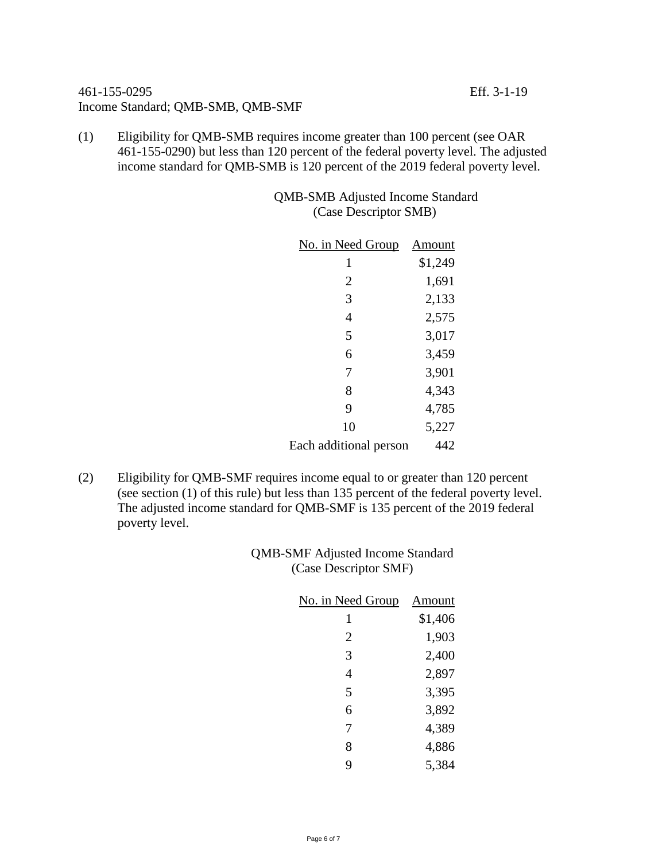# 461-155-0295 Eff. 3-1-19 Income Standard; QMB-SMB, QMB-SMF

- 
- (1) Eligibility for QMB-SMB requires income greater than 100 percent (see OAR 461-155-0290) but less than 120 percent of the federal poverty level. The adjusted income standard for QMB-SMB is 120 percent of the 2019 federal poverty level.

QMB-SMB Adjusted Income Standard (Case Descriptor SMB)

| No. in Need Group      | Amount  |
|------------------------|---------|
| 1                      | \$1,249 |
| 2                      | 1,691   |
| 3                      | 2,133   |
| $\overline{4}$         | 2,575   |
| 5                      | 3,017   |
| 6                      | 3,459   |
| 7                      | 3,901   |
| 8                      | 4,343   |
| 9                      | 4,785   |
| 10                     | 5,227   |
| Each additional person | 442     |

(2) Eligibility for QMB-SMF requires income equal to or greater than 120 percent (see section (1) of this rule) but less than 135 percent of the federal poverty level. The adjusted income standard for QMB-SMF is 135 percent of the 2019 federal poverty level.

> QMB-SMF Adjusted Income Standard (Case Descriptor SMF)

| <u>No. in Need Group</u> | Amount  |
|--------------------------|---------|
| 1                        | \$1,406 |
| 2                        | 1,903   |
| 3                        | 2,400   |
| 4                        | 2,897   |
| 5                        | 3,395   |
| 6                        | 3,892   |
| 7                        | 4,389   |
| 8                        | 4,886   |
| 9                        | 5,384   |